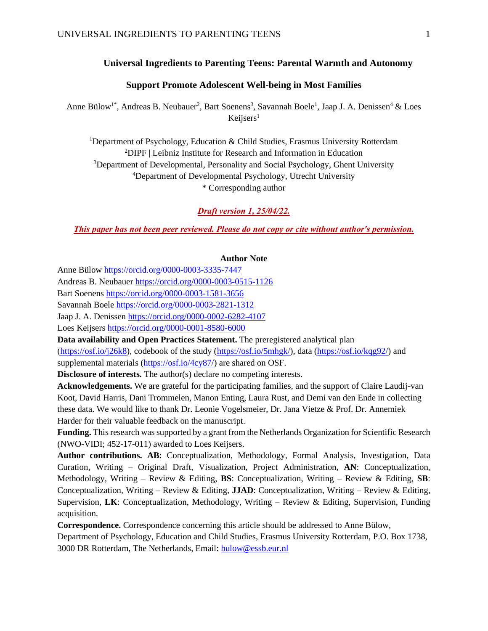# **Universal Ingredients to Parenting Teens: Parental Warmth and Autonomy**

# **Support Promote Adolescent Well-being in Most Families**

Anne Bülow<sup>1\*</sup>, Andreas B. Neubauer<sup>2</sup>, Bart Soenens<sup>3</sup>, Savannah Boele<sup>1</sup>, Jaap J. A. Denissen<sup>4</sup> & Loes  $Keijsers<sup>1</sup>$ 

Department of Psychology, Education & Child Studies, Erasmus University Rotterdam DIPF | Leibniz Institute for Research and Information in Education Department of Developmental, Personality and Social Psychology, Ghent University Department of Developmental Psychology, Utrecht University \* Corresponding author

*Draft version 1, 25/04/22.*

*This paper has not been peer reviewed. Please do not copy or cite without author's permission.*

#### **Author Note**

Anne Bülo[w https://orcid.org/0000-0003-3335-7447](https://orcid.org/0000-0003-3335-7447)

Andreas B. Neubaue[r https://orcid.org/0000-0003-0515-1126](https://orcid.org/0000-0003-0515-1126)

Bart Soenens<https://orcid.org/0000-0003-1581-3656>

Savannah Boele<https://orcid.org/0000-0003-2821-1312>

Jaap J. A. Denissen<https://orcid.org/0000-0002-6282-4107>

Loes Keijsers<https://orcid.org/0000-0001-8580-6000>

**Data availability and Open Practices Statement.** The preregistered analytical plan [\(https://osf.io/j26k8\)](https://osf.io/j26k8), codebook of the study [\(https://osf.io/5mhgk/\)](https://osf.io/5mhgk/), data [\(https://osf.io/kqg92/\)](https://osf.io/kqg92/) and supplemental materials [\(https://osf.io/4cy87/\)](https://osf.io/4cy87/) are shared on OSF.

**Disclosure of interests.** The author(s) declare no competing interests.

**Acknowledgements.** We are grateful for the participating families, and the support of Claire Laudij-van Koot, David Harris, Dani Trommelen, Manon Enting, Laura Rust, and Demi van den Ende in collecting these data. We would like to thank Dr. Leonie Vogelsmeier, Dr. Jana Vietze & Prof. Dr. Annemiek Harder for their valuable feedback on the manuscript.

**Funding.** This research was supported by a grant from the Netherlands Organization for Scientific Research (NWO-VIDI; 452-17-011) awarded to Loes Keijsers.

**Author contributions. AB**: Conceptualization, Methodology, Formal Analysis, Investigation, Data Curation, Writing – Original Draft, Visualization, Project Administration, **AN**: Conceptualization, Methodology, Writing – Review & Editing, **BS**: Conceptualization, Writing – Review & Editing, **SB**: Conceptualization, Writing – Review & Editing, **JJAD**: Conceptualization, Writing – Review & Editing, Supervision, **LK**: Conceptualization, Methodology, Writing – Review & Editing, Supervision, Funding acquisition.

**Correspondence.** Correspondence concerning this article should be addressed to Anne Bülow,

Department of Psychology, Education and Child Studies, Erasmus University Rotterdam, P.O. Box 1738, 3000 DR Rotterdam, The Netherlands, Email: [bulow@essb.eur.nl](mailto:bulow@essb.eur.nl)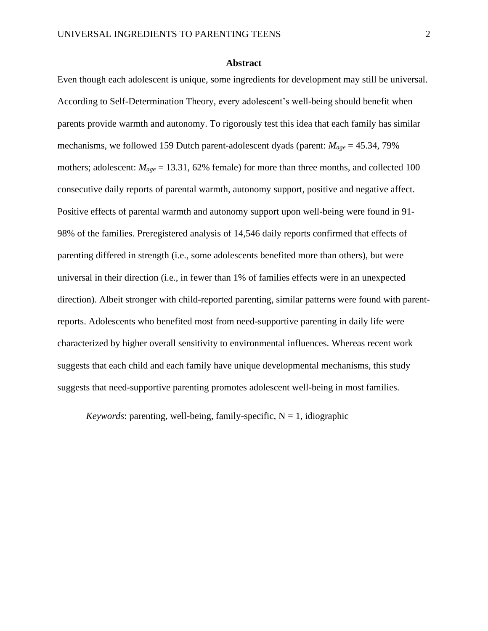## **Abstract**

Even though each adolescent is unique, some ingredients for development may still be universal. According to Self-Determination Theory, every adolescent's well-being should benefit when parents provide warmth and autonomy. To rigorously test this idea that each family has similar mechanisms, we followed 159 Dutch parent-adolescent dyads (parent: *Mage* = 45.34, 79% mothers; adolescent:  $M_{\text{age}} = 13.31$ , 62% female) for more than three months, and collected 100 consecutive daily reports of parental warmth, autonomy support, positive and negative affect. Positive effects of parental warmth and autonomy support upon well-being were found in 91- 98% of the families. Preregistered analysis of 14,546 daily reports confirmed that effects of parenting differed in strength (i.e., some adolescents benefited more than others), but were universal in their direction (i.e., in fewer than 1% of families effects were in an unexpected direction). Albeit stronger with child-reported parenting, similar patterns were found with parentreports. Adolescents who benefited most from need-supportive parenting in daily life were characterized by higher overall sensitivity to environmental influences. Whereas recent work suggests that each child and each family have unique developmental mechanisms, this study suggests that need-supportive parenting promotes adolescent well-being in most families.

*Keywords*: parenting, well-being, family-specific,  $N = 1$ , idiographic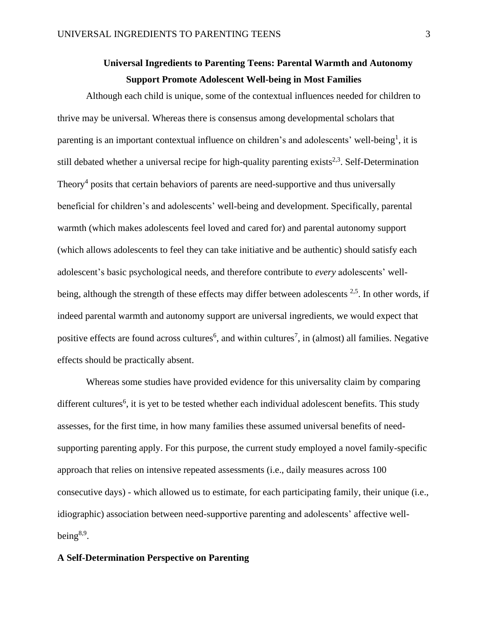# **Universal Ingredients to Parenting Teens: Parental Warmth and Autonomy Support Promote Adolescent Well-being in Most Families**

Although each child is unique, some of the contextual influences needed for children to thrive may be universal. Whereas there is consensus among developmental scholars that parenting is an important contextual influence on children's and adolescents' well-being<sup>1</sup>, it is still debated whether a universal recipe for high-quality parenting exists<sup>2,3</sup>. Self-Determination Theory<sup>4</sup> posits that certain behaviors of parents are need-supportive and thus universally beneficial for children's and adolescents' well-being and development. Specifically, parental warmth (which makes adolescents feel loved and cared for) and parental autonomy support (which allows adolescents to feel they can take initiative and be authentic) should satisfy each adolescent's basic psychological needs, and therefore contribute to *every* adolescents' wellbeing, although the strength of these effects may differ between adolescents <sup>2,5</sup>. In other words, if indeed parental warmth and autonomy support are universal ingredients, we would expect that positive effects are found across cultures<sup>6</sup>, and within cultures<sup>7</sup>, in (almost) all families. Negative effects should be practically absent.

Whereas some studies have provided evidence for this universality claim by comparing different cultures<sup>6</sup>, it is yet to be tested whether each individual adolescent benefits. This study assesses, for the first time, in how many families these assumed universal benefits of needsupporting parenting apply. For this purpose, the current study employed a novel family-specific approach that relies on intensive repeated assessments (i.e., daily measures across 100 consecutive days) - which allowed us to estimate, for each participating family, their unique (i.e., idiographic) association between need-supportive parenting and adolescents' affective wellbeing $8,9$ .

# **A Self-Determination Perspective on Parenting**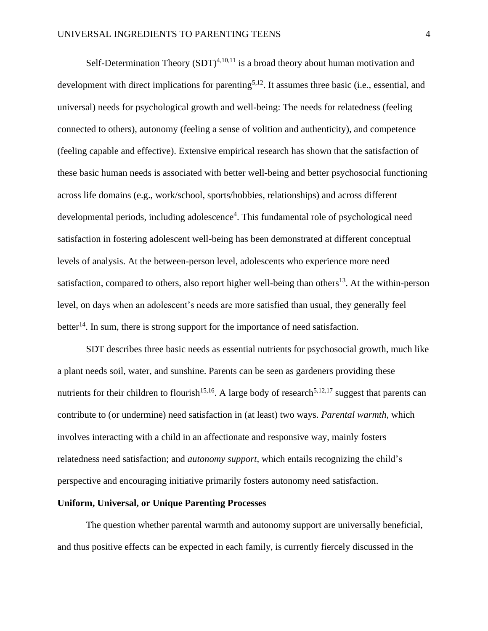Self-Determination Theory  $(SDT)^{4,10,11}$  is a broad theory about human motivation and development with direct implications for parenting<sup>5,12</sup>. It assumes three basic (i.e., essential, and universal) needs for psychological growth and well-being: The needs for relatedness (feeling connected to others), autonomy (feeling a sense of volition and authenticity), and competence (feeling capable and effective). Extensive empirical research has shown that the satisfaction of these basic human needs is associated with better well-being and better psychosocial functioning across life domains (e.g., work/school, sports/hobbies, relationships) and across different developmental periods, including adolescence<sup>4</sup>. This fundamental role of psychological need satisfaction in fostering adolescent well-being has been demonstrated at different conceptual levels of analysis. At the between-person level, adolescents who experience more need satisfaction, compared to others, also report higher well-being than others<sup>13</sup>. At the within-person level, on days when an adolescent's needs are more satisfied than usual, they generally feel better<sup>14</sup>. In sum, there is strong support for the importance of need satisfaction.

SDT describes three basic needs as essential nutrients for psychosocial growth, much like a plant needs soil, water, and sunshine. Parents can be seen as gardeners providing these nutrients for their children to flourish<sup>15,16</sup>. A large body of research<sup>5,12,17</sup> suggest that parents can contribute to (or undermine) need satisfaction in (at least) two ways. *Parental warmth*, which involves interacting with a child in an affectionate and responsive way, mainly fosters relatedness need satisfaction; and *autonomy support*, which entails recognizing the child's perspective and encouraging initiative primarily fosters autonomy need satisfaction.

# **Uniform, Universal, or Unique Parenting Processes**

The question whether parental warmth and autonomy support are universally beneficial, and thus positive effects can be expected in each family, is currently fiercely discussed in the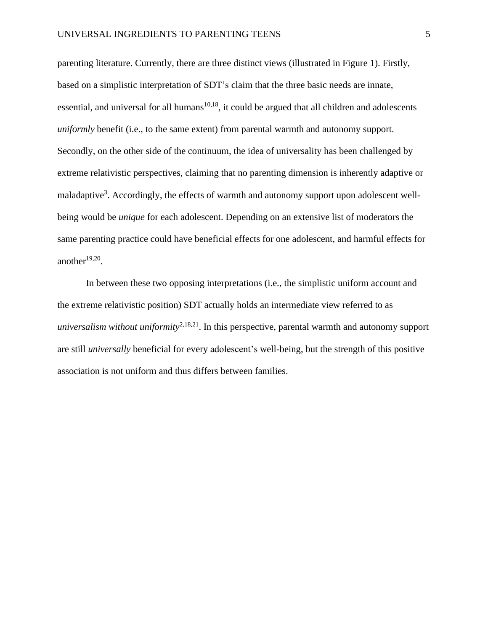parenting literature. Currently, there are three distinct views (illustrated in Figure 1). Firstly, based on a simplistic interpretation of SDT's claim that the three basic needs are innate, essential, and universal for all humans<sup>10,18</sup>, it could be argued that all children and adolescents *uniformly* benefit (i.e., to the same extent) from parental warmth and autonomy support. Secondly, on the other side of the continuum, the idea of universality has been challenged by extreme relativistic perspectives, claiming that no parenting dimension is inherently adaptive or maladaptive<sup>3</sup>. Accordingly, the effects of warmth and autonomy support upon adolescent wellbeing would be *unique* for each adolescent. Depending on an extensive list of moderators the same parenting practice could have beneficial effects for one adolescent, and harmful effects for another $19,20$ .

In between these two opposing interpretations (i.e., the simplistic uniform account and the extreme relativistic position) SDT actually holds an intermediate view referred to as *universalism without uniformity*<sup>2,18,21</sup>. In this perspective, parental warmth and autonomy support are still *universally* beneficial for every adolescent's well-being, but the strength of this positive association is not uniform and thus differs between families.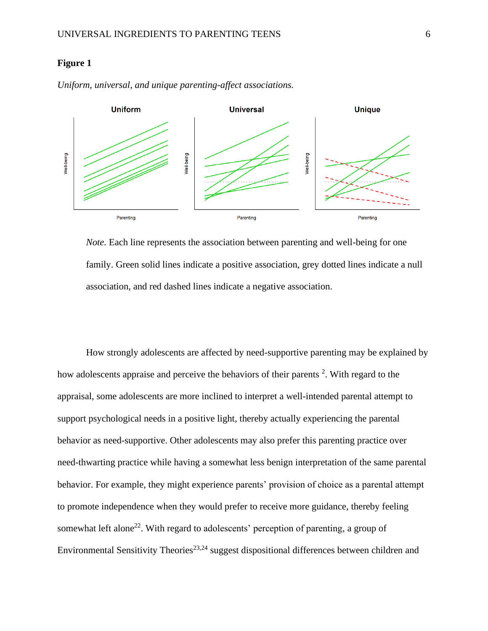# **Figure 1**



*Uniform, universal, and unique parenting-affect associations.* 

*Note.* Each line represents the association between parenting and well-being for one family. Green solid lines indicate a positive association, grey dotted lines indicate a null association, and red dashed lines indicate a negative association.

How strongly adolescents are affected by need-supportive parenting may be explained by how adolescents appraise and perceive the behaviors of their parents <sup>2</sup>. With regard to the appraisal, some adolescents are more inclined to interpret a well-intended parental attempt to support psychological needs in a positive light, thereby actually experiencing the parental behavior as need-supportive. Other adolescents may also prefer this parenting practice over need-thwarting practice while having a somewhat less benign interpretation of the same parental behavior. For example, they might experience parents' provision of choice as a parental attempt to promote independence when they would prefer to receive more guidance, thereby feeling somewhat left alone<sup>22</sup>. With regard to adolescents' perception of parenting, a group of Environmental Sensitivity Theories<sup>23,24</sup> suggest dispositional differences between children and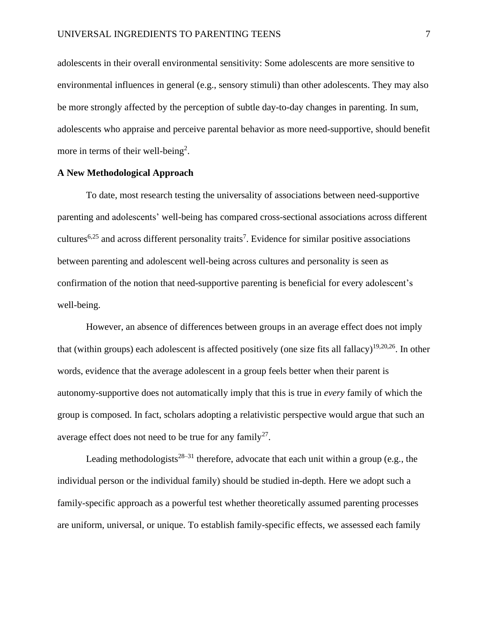adolescents in their overall environmental sensitivity: Some adolescents are more sensitive to environmental influences in general (e.g., sensory stimuli) than other adolescents. They may also be more strongly affected by the perception of subtle day-to-day changes in parenting. In sum, adolescents who appraise and perceive parental behavior as more need-supportive, should benefit more in terms of their well-being<sup>2</sup>.

# **A New Methodological Approach**

To date, most research testing the universality of associations between need-supportive parenting and adolescents' well-being has compared cross-sectional associations across different cultures<sup>6,25</sup> and across different personality traits<sup>7</sup>. Evidence for similar positive associations between parenting and adolescent well-being across cultures and personality is seen as confirmation of the notion that need-supportive parenting is beneficial for every adolescent's well-being.

However, an absence of differences between groups in an average effect does not imply that (within groups) each adolescent is affected positively (one size fits all fallacy)<sup>19,20,26</sup>. In other words, evidence that the average adolescent in a group feels better when their parent is autonomy-supportive does not automatically imply that this is true in *every* family of which the group is composed. In fact, scholars adopting a relativistic perspective would argue that such an average effect does not need to be true for any family<sup>27</sup>.

Leading methodologists<sup>28–31</sup> therefore, advocate that each unit within a group (e.g., the individual person or the individual family) should be studied in-depth. Here we adopt such a family-specific approach as a powerful test whether theoretically assumed parenting processes are uniform, universal, or unique. To establish family-specific effects, we assessed each family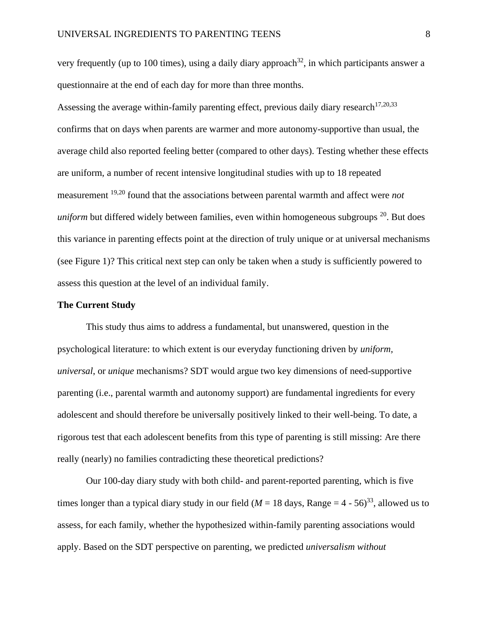very frequently (up to 100 times), using a daily diary approach<sup>32</sup>, in which participants answer a questionnaire at the end of each day for more than three months.

Assessing the average within-family parenting effect, previous daily diary research<sup>17,20,33</sup> confirms that on days when parents are warmer and more autonomy-supportive than usual, the average child also reported feeling better (compared to other days). Testing whether these effects are uniform, a number of recent intensive longitudinal studies with up to 18 repeated measurement 19,20 found that the associations between parental warmth and affect were *not*  uniform but differed widely between families, even within homogeneous subgroups <sup>20</sup>. But does this variance in parenting effects point at the direction of truly unique or at universal mechanisms (see Figure 1)? This critical next step can only be taken when a study is sufficiently powered to assess this question at the level of an individual family.

# **The Current Study**

This study thus aims to address a fundamental, but unanswered, question in the psychological literature: to which extent is our everyday functioning driven by *uniform, universal*, or *unique* mechanisms? SDT would argue two key dimensions of need-supportive parenting (i.e., parental warmth and autonomy support) are fundamental ingredients for every adolescent and should therefore be universally positively linked to their well-being. To date, a rigorous test that each adolescent benefits from this type of parenting is still missing: Are there really (nearly) no families contradicting these theoretical predictions?

Our 100-day diary study with both child- and parent-reported parenting, which is five times longer than a typical diary study in our field ( $M = 18$  days, Range =  $4 - 56$ )<sup>33</sup>, allowed us to assess, for each family, whether the hypothesized within-family parenting associations would apply. Based on the SDT perspective on parenting, we predicted *universalism without*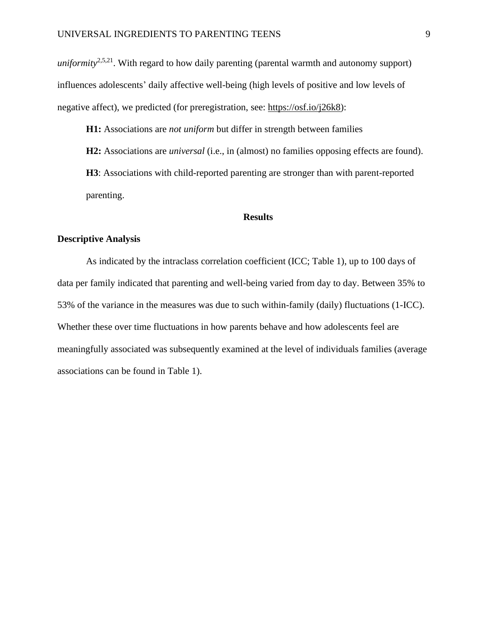*uniformity*<sup>2,5,21</sup>. With regard to how daily parenting (parental warmth and autonomy support) influences adolescents' daily affective well-being (high levels of positive and low levels of negative affect), we predicted (for preregistration, see: [https://osf.io/j26k8\)](https://osf.io/j26k8):

**H1:** Associations are *not uniform* but differ in strength between families

**H2:** Associations are *universal* (i.e., in (almost) no families opposing effects are found). **H3**: Associations with child-reported parenting are stronger than with parent-reported parenting.

## **Results**

# **Descriptive Analysis**

As indicated by the intraclass correlation coefficient (ICC; Table 1), up to 100 days of data per family indicated that parenting and well-being varied from day to day. Between 35% to 53% of the variance in the measures was due to such within-family (daily) fluctuations (1-ICC). Whether these over time fluctuations in how parents behave and how adolescents feel are meaningfully associated was subsequently examined at the level of individuals families (average associations can be found in Table 1).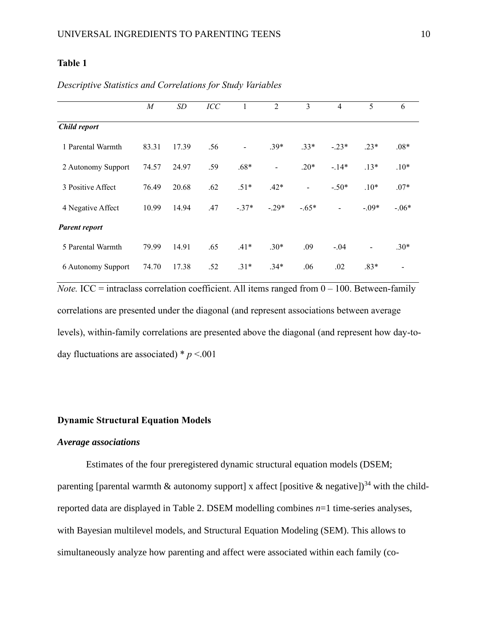# **Table 1**

|                      | $\boldsymbol{M}$ | SD    | ICC | 1       | $\overline{2}$    | 3              | $\overline{4}$ | 5              | 6       |
|----------------------|------------------|-------|-----|---------|-------------------|----------------|----------------|----------------|---------|
| Child report         |                  |       |     |         |                   |                |                |                |         |
| 1 Parental Warmth    | 83.31            | 17.39 | .56 |         | $.39*$            | $.33*$         | $-.23*$        | $.23*$         | $.08*$  |
| 2 Autonomy Support   | 74.57            | 24.97 | .59 | $.68*$  | $\qquad \qquad -$ | $.20*$         | $-14*$         | $.13*$         | $.10*$  |
| 3 Positive Affect    | 76.49            | 20.68 | .62 | $.51*$  | $.42*$            | $\overline{a}$ | $-.50*$        | $.10*$         | $.07*$  |
| 4 Negative Affect    | 10.99            | 14.94 | .47 | $-.37*$ | $-.29*$           | $-.65*$        | $\frac{1}{2}$  | $-.09*$        | $-.06*$ |
| <b>Parent report</b> |                  |       |     |         |                   |                |                |                |         |
| 5 Parental Warmth    | 79.99            | 14.91 | .65 | $.41*$  | $.30*$            | .09            | $-.04$         | $\overline{a}$ | $.30*$  |
| 6 Autonomy Support   | 74.70            | 17.38 | .52 | $.31*$  | $.34*$            | .06            | .02            | $.83*$         |         |

*Descriptive Statistics and Correlations for Study Variables* 

*Note.* ICC = intraclass correlation coefficient. All items ranged from  $0 - 100$ . Between-family correlations are presented under the diagonal (and represent associations between average levels), within-family correlations are presented above the diagonal (and represent how day-today fluctuations are associated)  $* p < .001$ 

# **Dynamic Structural Equation Models**

# *Average associations*

Estimates of the four preregistered dynamic structural equation models (DSEM; parenting [parental warmth & autonomy support] x affect [positive & negative])<sup>34</sup> with the childreported data are displayed in Table 2. DSEM modelling combines *n*=1 time-series analyses, with Bayesian multilevel models, and Structural Equation Modeling (SEM). This allows to simultaneously analyze how parenting and affect were associated within each family (co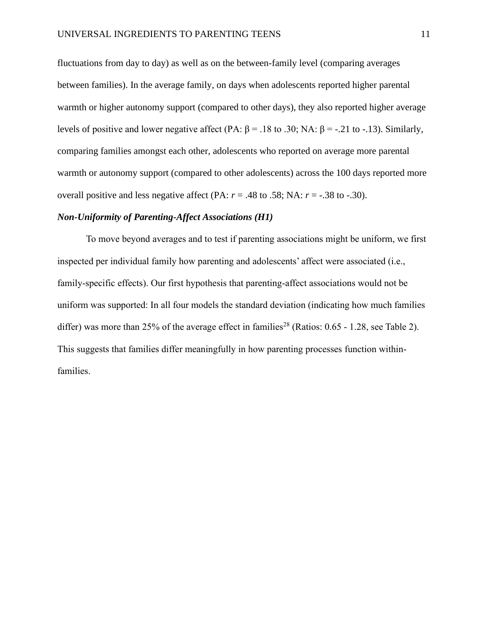fluctuations from day to day) as well as on the between-family level (comparing averages between families). In the average family, on days when adolescents reported higher parental warmth or higher autonomy support (compared to other days), they also reported higher average levels of positive and lower negative affect (PA: β = .18 to .30; NA: β = -.21 to -.13). Similarly, comparing families amongst each other, adolescents who reported on average more parental warmth or autonomy support (compared to other adolescents) across the 100 days reported more overall positive and less negative affect (PA:  $r = .48$  to .58; NA:  $r = -.38$  to  $-.30$ ).

# *Non-Uniformity of Parenting-Affect Associations (H1)*

To move beyond averages and to test if parenting associations might be uniform, we first inspected per individual family how parenting and adolescents' affect were associated (i.e., family-specific effects). Our first hypothesis that parenting-affect associations would not be uniform was supported: In all four models the standard deviation (indicating how much families differ) was more than 25% of the average effect in families<sup>28</sup> (Ratios:  $0.65 - 1.28$ , see Table 2). This suggests that families differ meaningfully in how parenting processes function withinfamilies.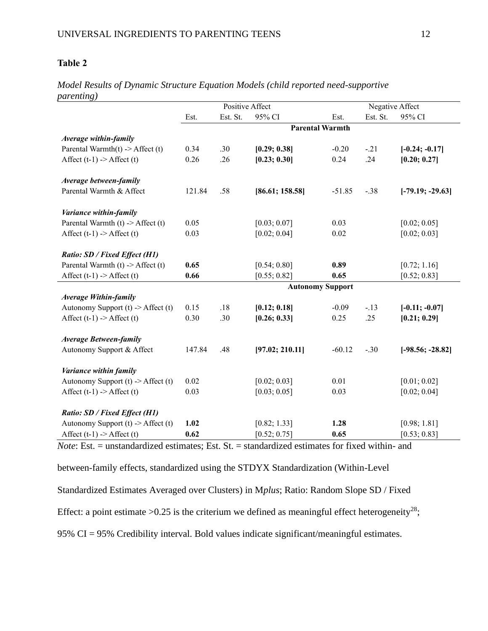# **Table 2**

|                                        | Positive Affect         |          |                 |          | Negative Affect |                    |  |  |  |
|----------------------------------------|-------------------------|----------|-----------------|----------|-----------------|--------------------|--|--|--|
|                                        | Est.                    | Est. St. | 95% CI          | Est.     | Est. St.        | 95% CI             |  |  |  |
|                                        | <b>Parental Warmth</b>  |          |                 |          |                 |                    |  |  |  |
| Average within-family                  |                         |          |                 |          |                 |                    |  |  |  |
| Parental Warmth $(t)$ -> Affect $(t)$  | 0.34                    | .30      | [0.29; 0.38]    | $-0.20$  | $-.21$          | $[-0.24; -0.17]$   |  |  |  |
| Affect $(t-1)$ -> Affect $(t)$         | 0.26                    | .26      | [0.23; 0.30]    | 0.24     | .24             | [0.20; 0.27]       |  |  |  |
| Average between-family                 |                         |          |                 |          |                 |                    |  |  |  |
| Parental Warmth & Affect               | 121.84                  | .58      | [86.61; 158.58] | $-51.85$ | $-.38$          | $[-79.19; -29.63]$ |  |  |  |
| Variance within-family                 |                         |          |                 |          |                 |                    |  |  |  |
| Parental Warmth $(t)$ -> Affect $(t)$  | 0.05                    |          | [0.03; 0.07]    | 0.03     |                 | [0.02; 0.05]       |  |  |  |
| Affect $(t-1)$ -> Affect $(t)$         | 0.03                    |          | [0.02; 0.04]    | 0.02     |                 | [0.02; 0.03]       |  |  |  |
| Ratio: SD / Fixed Effect (H1)          |                         |          |                 |          |                 |                    |  |  |  |
| Parental Warmth $(t)$ -> Affect $(t)$  | 0.65                    |          | [0.54; 0.80]    | 0.89     |                 | [0.72; 1.16]       |  |  |  |
| Affect $(t-1)$ -> Affect $(t)$         | 0.66                    |          | [0.55; 0.82]    | 0.65     |                 | [0.52; 0.83]       |  |  |  |
|                                        | <b>Autonomy Support</b> |          |                 |          |                 |                    |  |  |  |
| <b>Average Within-family</b>           |                         |          |                 |          |                 |                    |  |  |  |
| Autonomy Support $(t)$ -> Affect $(t)$ | 0.15                    | .18      | [0.12; 0.18]    | $-0.09$  | $-.13$          | $[-0.11; -0.07]$   |  |  |  |
| Affect $(t-1)$ -> Affect $(t)$         | 0.30                    | .30      | [0.26; 0.33]    | 0.25     | .25             | [0.21; 0.29]       |  |  |  |
| <b>Average Between-family</b>          |                         |          |                 |          |                 |                    |  |  |  |
| Autonomy Support & Affect              | 147.84                  | .48      | [97.02; 210.11] | $-60.12$ | $-.30$          | $[-98.56; -28.82]$ |  |  |  |
| Variance within family                 |                         |          |                 |          |                 |                    |  |  |  |
| Autonomy Support $(t)$ -> Affect $(t)$ | 0.02                    |          | [0.02; 0.03]    | 0.01     |                 | [0.01; 0.02]       |  |  |  |
| Affect $(t-1)$ -> Affect $(t)$         | 0.03                    |          | [0.03; 0.05]    | 0.03     |                 | [0.02; 0.04]       |  |  |  |
| <b>Ratio: SD / Fixed Effect (H1)</b>   |                         |          |                 |          |                 |                    |  |  |  |
| Autonomy Support $(t)$ -> Affect $(t)$ | 1.02                    |          | [0.82; 1.33]    | 1.28     |                 | [0.98; 1.81]       |  |  |  |
| Affect $(t-1)$ -> Affect $(t)$         | 0.62                    |          | [0.52; 0.75]    | 0.65     |                 | [0.53; 0.83]       |  |  |  |

*Model Results of Dynamic Structure Equation Models (child reported need-supportive parenting)* 

*Note*: Est. = unstandardized estimates; Est. St. = standardized estimates for fixed within- and

between-family effects, standardized using the STDYX Standardization (Within-Level

Standardized Estimates Averaged over Clusters) in M*plus*; Ratio: Random Slope SD / Fixed

Effect: a point estimate > 0.25 is the criterium we defined as meaningful effect heterogeneity<sup>28</sup>;

95% CI = 95% Credibility interval. Bold values indicate significant/meaningful estimates.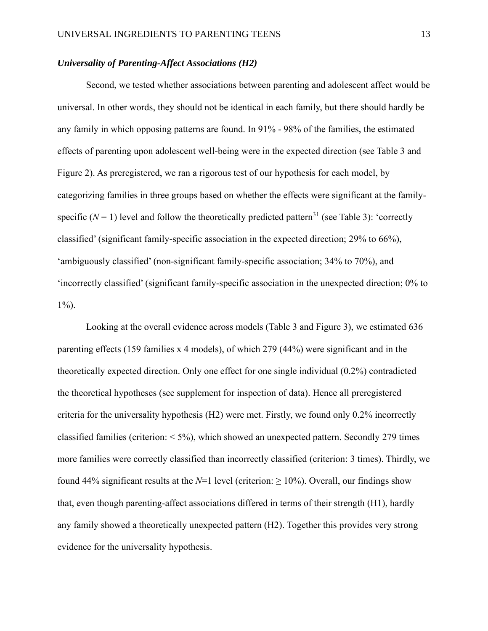# *Universality of Parenting-Affect Associations (H2)*

Second, we tested whether associations between parenting and adolescent affect would be universal. In other words, they should not be identical in each family, but there should hardly be any family in which opposing patterns are found. In 91% - 98% of the families, the estimated effects of parenting upon adolescent well-being were in the expected direction (see Table 3 and Figure 2). As preregistered, we ran a rigorous test of our hypothesis for each model, by categorizing families in three groups based on whether the effects were significant at the familyspecific  $(N = 1)$  level and follow the theoretically predicted pattern<sup>31</sup> (see Table 3): 'correctly classified' (significant family-specific association in the expected direction; 29% to 66%), 'ambiguously classified' (non-significant family-specific association; 34% to 70%), and 'incorrectly classified' (significant family-specific association in the unexpected direction; 0% to  $1\%$ ).

Looking at the overall evidence across models (Table 3 and Figure 3), we estimated 636 parenting effects (159 families x 4 models), of which 279 (44%) were significant and in the theoretically expected direction. Only one effect for one single individual (0.2%) contradicted the theoretical hypotheses (see supplement for inspection of data). Hence all preregistered criteria for the universality hypothesis (H2) were met. Firstly, we found only 0.2% incorrectly classified families (criterion:  $\langle 5\%$ ), which showed an unexpected pattern. Secondly 279 times more families were correctly classified than incorrectly classified (criterion: 3 times). Thirdly, we found 44% significant results at the  $N=1$  level (criterion:  $\geq 10\%$ ). Overall, our findings show that, even though parenting-affect associations differed in terms of their strength (H1), hardly any family showed a theoretically unexpected pattern (H2). Together this provides very strong evidence for the universality hypothesis.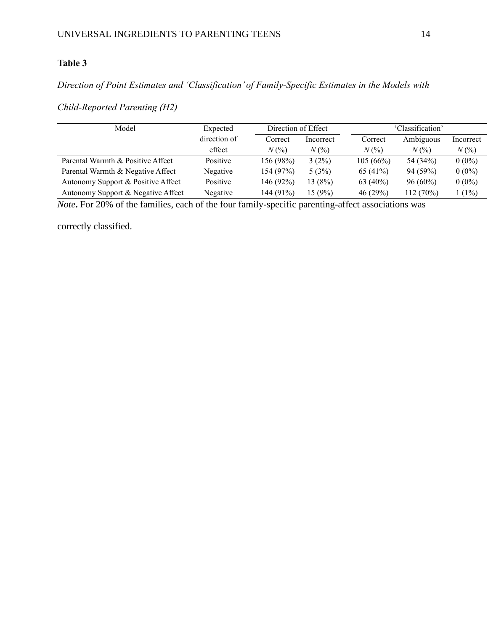# **Table 3**

# *Direction of Point Estimates and 'Classification' of Family-Specific Estimates in the Models with*

*Child-Reported Parenting (H2)*

| Model                              | Expected     | Direction of Effect |           | 'Classification'            |                             |           |  |
|------------------------------------|--------------|---------------------|-----------|-----------------------------|-----------------------------|-----------|--|
|                                    | direction of | Correct             | Incorrect | Correct                     | Ambiguous                   | Incorrect |  |
|                                    | effect       | $N(\%)$             | $N(\%)$   | $N\left(\frac{9}{6}\right)$ | $N\left(\frac{9}{6}\right)$ | $N(\%)$   |  |
| Parental Warmth & Positive Affect  | Positive     | 156 (98%)           | $3(2\%)$  | 105(66%)                    | 54 (34%)                    | $0(0\%)$  |  |
| Parental Warmth & Negative Affect  | Negative     | 154(97%)            | 5(3%)     | 65 (41%)                    | 94 (59%)                    | $0(0\%)$  |  |
| Autonomy Support & Positive Affect | Positive     | 146(92%)            | 13(8%)    | 63 $(40\%)$                 | $96(60\%)$                  | $0(0\%)$  |  |
| Autonomy Support & Negative Affect | Negative     | 144 (91%)           | 15 (9%)   | 46 (29%)                    | 112(70%)                    | $(1\%)$   |  |

*Note***.** For 20% of the families, each of the four family-specific parenting-affect associations was

correctly classified.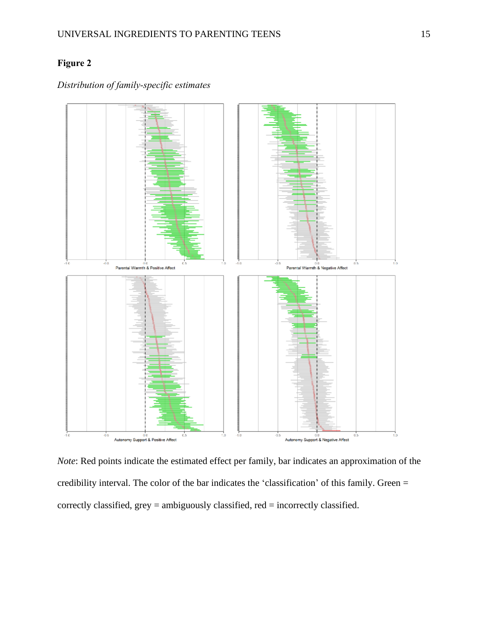# **Figure 2**



# *Distribution of family-specific estimates*

*Note*: Red points indicate the estimated effect per family, bar indicates an approximation of the credibility interval. The color of the bar indicates the 'classification' of this family. Green = correctly classified, grey = ambiguously classified, red = incorrectly classified.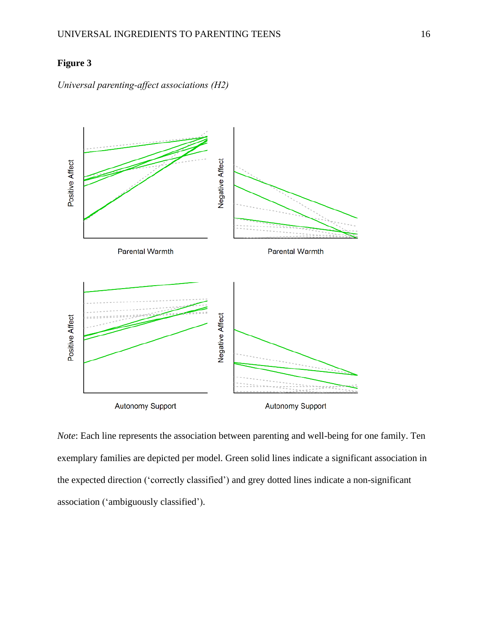# **Figure 3**





*Note*: Each line represents the association between parenting and well-being for one family. Ten exemplary families are depicted per model. Green solid lines indicate a significant association in the expected direction ('correctly classified') and grey dotted lines indicate a non-significant association ('ambiguously classified').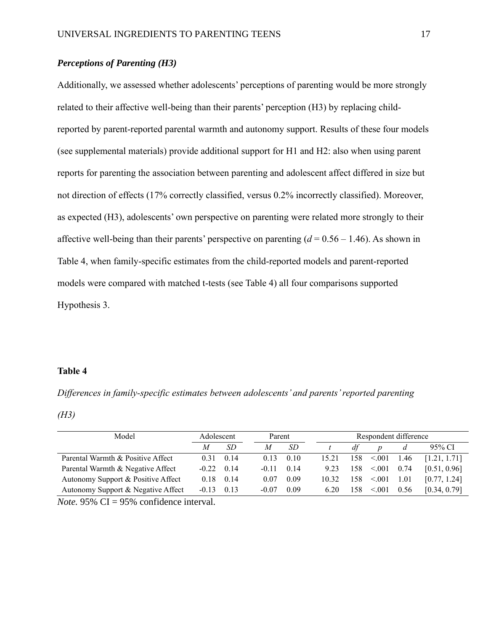# *Perceptions of Parenting (H3)*

Additionally, we assessed whether adolescents' perceptions of parenting would be more strongly related to their affective well-being than their parents' perception (H3) by replacing childreported by parent-reported parental warmth and autonomy support. Results of these four models (see supplemental materials) provide additional support for H1 and H2: also when using parent reports for parenting the association between parenting and adolescent affect differed in size but not direction of effects (17% correctly classified, versus 0.2% incorrectly classified). Moreover, as expected (H3), adolescents' own perspective on parenting were related more strongly to their affective well-being than their parents' perspective on parenting  $(d = 0.56 - 1.46)$ . As shown in Table 4, when family-specific estimates from the child-reported models and parent-reported models were compared with matched t-tests (see Table 4) all four comparisons supported Hypothesis 3.

# **Table 4**

*Differences in family-specific estimates between adolescents' and parents' reported parenting*

*(H3)*

| Model                              | Adolescent |      | Respondent difference<br>Parent |         |      |       |     |        |      |              |
|------------------------------------|------------|------|---------------------------------|---------|------|-------|-----|--------|------|--------------|
|                                    | M          | SD.  |                                 | M       | SD.  |       | df  | n      |      | 95% CI       |
| Parental Warmth & Positive Affect  | 0.31       | 0.14 |                                 | 0.13    | 0.10 | 15.21 | 158 | < 0.01 | 1.46 | [1.21, 1.71] |
| Parental Warmth & Negative Affect  | $-0.22$    | 0.14 |                                 | $-0.11$ | 0.14 | 9.23  | 158 | < 0.01 | 0.74 | [0.51, 0.96] |
| Autonomy Support & Positive Affect | 0.18       | 0.14 |                                 | 0.07    | 0.09 | 10.32 | 158 | < 0.01 | 1.01 | [0.77, 1.24] |
| Autonomy Support & Negative Affect | $-0.13$    | 0.13 |                                 | $-0.07$ | 0.09 | 6.20  | 158 | < 0.01 | 0.56 | [0.34, 0.79] |

*Note.* 95% CI = 95% confidence interval.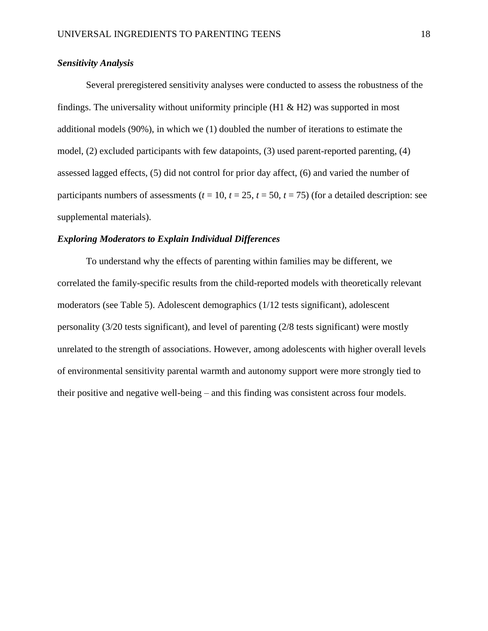# *Sensitivity Analysis*

Several preregistered sensitivity analyses were conducted to assess the robustness of the findings. The universality without uniformity principle  $(H1 \& H2)$  was supported in most additional models (90%), in which we (1) doubled the number of iterations to estimate the model, (2) excluded participants with few datapoints, (3) used parent-reported parenting, (4) assessed lagged effects, (5) did not control for prior day affect, (6) and varied the number of participants numbers of assessments ( $t = 10$ ,  $t = 25$ ,  $t = 50$ ,  $t = 75$ ) (for a detailed description: see supplemental materials).

## *Exploring Moderators to Explain Individual Differences*

To understand why the effects of parenting within families may be different, we correlated the family-specific results from the child-reported models with theoretically relevant moderators (see Table 5). Adolescent demographics (1/12 tests significant), adolescent personality (3/20 tests significant), and level of parenting (2/8 tests significant) were mostly unrelated to the strength of associations. However, among adolescents with higher overall levels of environmental sensitivity parental warmth and autonomy support were more strongly tied to their positive and negative well-being – and this finding was consistent across four models.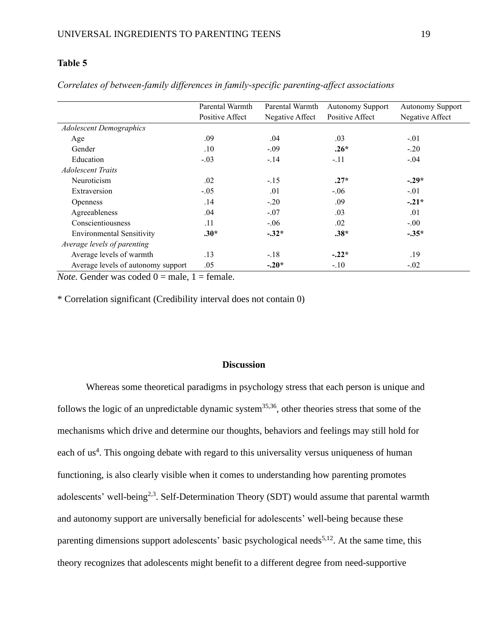# **Table 5**

|                                    | Parental Warmth | Parental Warmth | <b>Autonomy Support</b> | <b>Autonomy Support</b> |  |
|------------------------------------|-----------------|-----------------|-------------------------|-------------------------|--|
|                                    | Positive Affect | Negative Affect | Positive Affect         | Negative Affect         |  |
| <b>Adolescent Demographics</b>     |                 |                 |                         |                         |  |
| Age                                | .09             | .04             | .03                     | $-.01$                  |  |
| Gender                             | .10             | $-.09$          | $.26*$                  | $-.20$                  |  |
| Education                          | $-.03$          | $-.14$          | $-.11$                  | $-.04$                  |  |
| <i><b>Adolescent Traits</b></i>    |                 |                 |                         |                         |  |
| Neuroticism                        | .02             | $-.15$          | $.27*$                  | $-.29*$                 |  |
| Extraversion                       | $-.05$          | .01             | $-.06$                  | $-.01$                  |  |
| <b>Openness</b>                    | .14             | $-.20$          | .09                     | $-.21*$                 |  |
| Agreeableness                      | .04             | $-.07$          | .03                     | .01                     |  |
| Conscientiousness                  | .11             | $-.06$          | .02                     | $-0.00$                 |  |
| <b>Environmental Sensitivity</b>   | $.30*$          | $-.32*$         | $.38*$                  | $-.35*$                 |  |
| Average levels of parenting        |                 |                 |                         |                         |  |
| Average levels of warmth           | .13             | $-.18$          | $-.22*$                 | .19                     |  |
| Average levels of autonomy support | .05             | $-.20*$         | $-.10$                  | $-.02$                  |  |

*Correlates of between-family differences in family-specific parenting-affect associations*

*Note.* Gender was coded  $0 =$  male,  $1 =$  female.

\* Correlation significant (Credibility interval does not contain 0)

## **Discussion**

Whereas some theoretical paradigms in psychology stress that each person is unique and follows the logic of an unpredictable dynamic system<sup>35,36</sup>, other theories stress that some of the mechanisms which drive and determine our thoughts, behaviors and feelings may still hold for each of us<sup>4</sup>. This ongoing debate with regard to this universality versus uniqueness of human functioning, is also clearly visible when it comes to understanding how parenting promotes adolescents' well-being<sup>2,3</sup>. Self-Determination Theory (SDT) would assume that parental warmth and autonomy support are universally beneficial for adolescents' well-being because these parenting dimensions support adolescents' basic psychological needs<sup>5,12</sup>. At the same time, this theory recognizes that adolescents might benefit to a different degree from need-supportive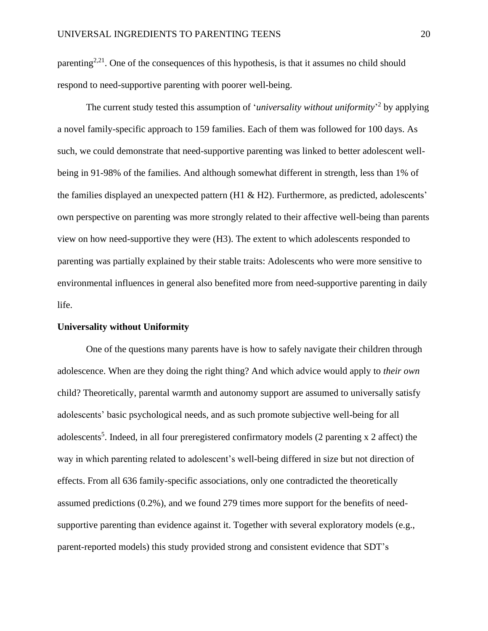parenting<sup>2,21</sup>. One of the consequences of this hypothesis, is that it assumes no child should respond to need-supportive parenting with poorer well-being.

The current study tested this assumption of '*universality without uniformity*' by applying a novel family-specific approach to 159 families. Each of them was followed for 100 days. As such, we could demonstrate that need-supportive parenting was linked to better adolescent wellbeing in 91-98% of the families. And although somewhat different in strength, less than 1% of the families displayed an unexpected pattern (H1 & H2). Furthermore, as predicted, adolescents' own perspective on parenting was more strongly related to their affective well-being than parents view on how need-supportive they were (H3). The extent to which adolescents responded to parenting was partially explained by their stable traits: Adolescents who were more sensitive to environmental influences in general also benefited more from need-supportive parenting in daily life.

## **Universality without Uniformity**

One of the questions many parents have is how to safely navigate their children through adolescence. When are they doing the right thing? And which advice would apply to *their own* child? Theoretically, parental warmth and autonomy support are assumed to universally satisfy adolescents' basic psychological needs, and as such promote subjective well-being for all adolescents<sup>5</sup>. Indeed, in all four preregistered confirmatory models (2 parenting x 2 affect) the way in which parenting related to adolescent's well-being differed in size but not direction of effects. From all 636 family-specific associations, only one contradicted the theoretically assumed predictions (0.2%), and we found 279 times more support for the benefits of needsupportive parenting than evidence against it. Together with several exploratory models (e.g., parent-reported models) this study provided strong and consistent evidence that SDT's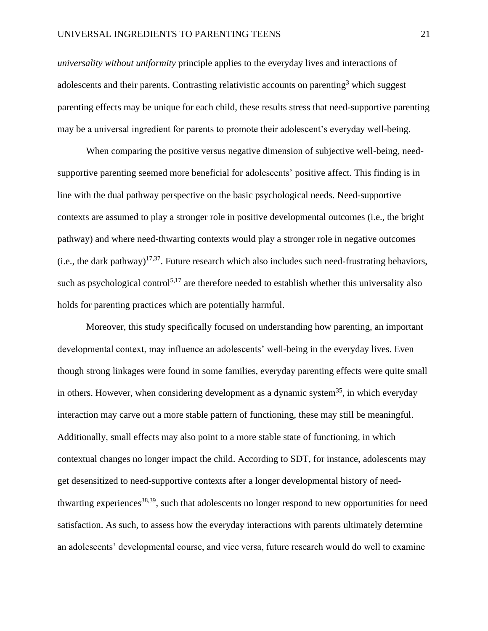*universality without uniformity* principle applies to the everyday lives and interactions of adolescents and their parents. Contrasting relativistic accounts on parenting<sup>3</sup> which suggest parenting effects may be unique for each child, these results stress that need-supportive parenting may be a universal ingredient for parents to promote their adolescent's everyday well-being.

When comparing the positive versus negative dimension of subjective well-being, needsupportive parenting seemed more beneficial for adolescents' positive affect. This finding is in line with the dual pathway perspective on the basic psychological needs. Need-supportive contexts are assumed to play a stronger role in positive developmental outcomes (i.e., the bright pathway) and where need-thwarting contexts would play a stronger role in negative outcomes  $(i.e., the dark pathway)<sup>17,37</sup>$ . Future research which also includes such need-frustrating behaviors, such as psychological control<sup>5,17</sup> are therefore needed to establish whether this universality also holds for parenting practices which are potentially harmful.

Moreover, this study specifically focused on understanding how parenting, an important developmental context, may influence an adolescents' well-being in the everyday lives. Even though strong linkages were found in some families, everyday parenting effects were quite small in others. However, when considering development as a dynamic system<sup>35</sup>, in which everyday interaction may carve out a more stable pattern of functioning, these may still be meaningful. Additionally, small effects may also point to a more stable state of functioning, in which contextual changes no longer impact the child. According to SDT, for instance, adolescents may get desensitized to need-supportive contexts after a longer developmental history of needthwarting experiences<sup>38,39</sup>, such that adolescents no longer respond to new opportunities for need satisfaction. As such, to assess how the everyday interactions with parents ultimately determine an adolescents' developmental course, and vice versa, future research would do well to examine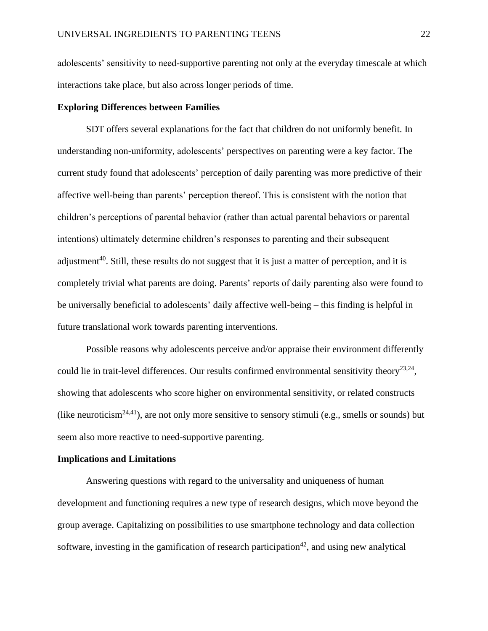adolescents' sensitivity to need-supportive parenting not only at the everyday timescale at which interactions take place, but also across longer periods of time.

## **Exploring Differences between Families**

SDT offers several explanations for the fact that children do not uniformly benefit. In understanding non-uniformity, adolescents' perspectives on parenting were a key factor. The current study found that adolescents' perception of daily parenting was more predictive of their affective well-being than parents' perception thereof. This is consistent with the notion that children's perceptions of parental behavior (rather than actual parental behaviors or parental intentions) ultimately determine children's responses to parenting and their subsequent adjustment<sup>40</sup>. Still, these results do not suggest that it is just a matter of perception, and it is completely trivial what parents are doing. Parents' reports of daily parenting also were found to be universally beneficial to adolescents' daily affective well-being – this finding is helpful in future translational work towards parenting interventions.

Possible reasons why adolescents perceive and/or appraise their environment differently could lie in trait-level differences. Our results confirmed environmental sensitivity theory<sup>23,24</sup>, showing that adolescents who score higher on environmental sensitivity, or related constructs (like neuroticism<sup>24,41</sup>), are not only more sensitive to sensory stimuli (e.g., smells or sounds) but seem also more reactive to need-supportive parenting.

#### **Implications and Limitations**

Answering questions with regard to the universality and uniqueness of human development and functioning requires a new type of research designs, which move beyond the group average. Capitalizing on possibilities to use smartphone technology and data collection software, investing in the gamification of research participation<sup>42</sup>, and using new analytical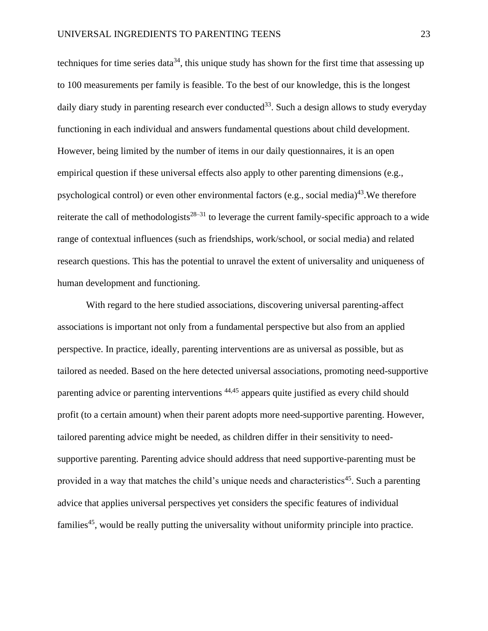techniques for time series data<sup>34</sup>, this unique study has shown for the first time that assessing up to 100 measurements per family is feasible. To the best of our knowledge, this is the longest daily diary study in parenting research ever conducted<sup>33</sup>. Such a design allows to study everyday functioning in each individual and answers fundamental questions about child development. However, being limited by the number of items in our daily questionnaires, it is an open empirical question if these universal effects also apply to other parenting dimensions (e.g., psychological control) or even other environmental factors (e.g., social media)<sup>43</sup>. We therefore reiterate the call of methodologists<sup>28–31</sup> to leverage the current family-specific approach to a wide range of contextual influences (such as friendships, work/school, or social media) and related research questions. This has the potential to unravel the extent of universality and uniqueness of human development and functioning.

With regard to the here studied associations, discovering universal parenting-affect associations is important not only from a fundamental perspective but also from an applied perspective. In practice, ideally, parenting interventions are as universal as possible, but as tailored as needed. Based on the here detected universal associations, promoting need-supportive parenting advice or parenting interventions <sup>44,45</sup> appears quite justified as every child should profit (to a certain amount) when their parent adopts more need-supportive parenting. However, tailored parenting advice might be needed, as children differ in their sensitivity to needsupportive parenting. Parenting advice should address that need supportive-parenting must be provided in a way that matches the child's unique needs and characteristics<sup>45</sup>. Such a parenting advice that applies universal perspectives yet considers the specific features of individual families<sup>45</sup>, would be really putting the universality without uniformity principle into practice.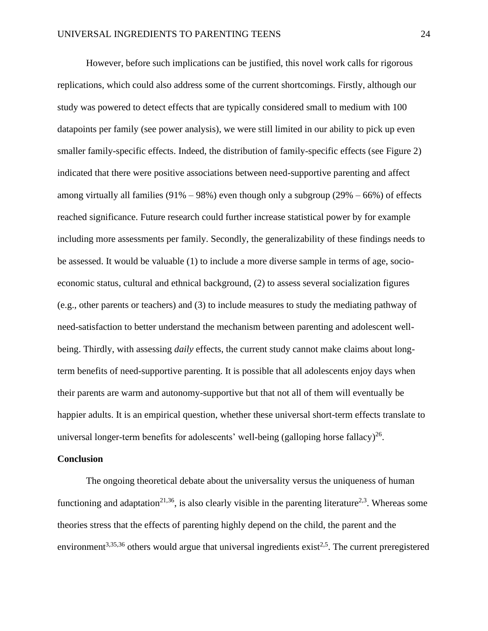However, before such implications can be justified, this novel work calls for rigorous replications, which could also address some of the current shortcomings. Firstly, although our study was powered to detect effects that are typically considered small to medium with 100 datapoints per family (see power analysis), we were still limited in our ability to pick up even smaller family-specific effects. Indeed, the distribution of family-specific effects (see Figure 2) indicated that there were positive associations between need-supportive parenting and affect among virtually all families  $(91\% - 98\%)$  even though only a subgroup  $(29\% - 66\%)$  of effects reached significance. Future research could further increase statistical power by for example including more assessments per family. Secondly, the generalizability of these findings needs to be assessed. It would be valuable (1) to include a more diverse sample in terms of age, socioeconomic status, cultural and ethnical background, (2) to assess several socialization figures (e.g., other parents or teachers) and (3) to include measures to study the mediating pathway of need-satisfaction to better understand the mechanism between parenting and adolescent wellbeing. Thirdly, with assessing *daily* effects, the current study cannot make claims about longterm benefits of need-supportive parenting. It is possible that all adolescents enjoy days when their parents are warm and autonomy-supportive but that not all of them will eventually be happier adults. It is an empirical question, whether these universal short-term effects translate to universal longer-term benefits for adolescents' well-being (galloping horse fallacy) $^{26}$ .

#### **Conclusion**

The ongoing theoretical debate about the universality versus the uniqueness of human functioning and adaptation<sup>21,36</sup>, is also clearly visible in the parenting literature<sup>2,3</sup>. Whereas some theories stress that the effects of parenting highly depend on the child, the parent and the environment<sup>3,35,36</sup> others would argue that universal ingredients exist<sup>2,5</sup>. The current preregistered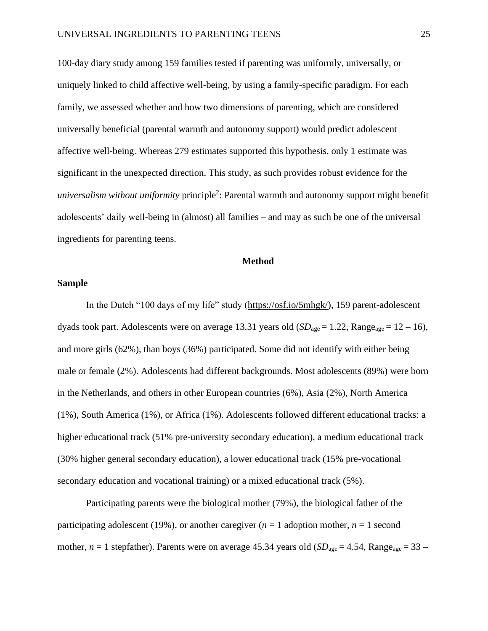100-day diary study among 159 families tested if parenting was uniformly, universally, or uniquely linked to child affective well-being, by using a family-specific paradigm. For each family, we assessed whether and how two dimensions of parenting, which are considered universally beneficial (parental warmth and autonomy support) would predict adolescent affective well-being. Whereas 279 estimates supported this hypothesis, only 1 estimate was significant in the unexpected direction. This study, as such provides robust evidence for the *universalism without uniformity* principle<sup>2</sup>: Parental warmth and autonomy support might benefit adolescents' daily well-being in (almost) all families – and may as such be one of the universal ingredients for parenting teens.

## **Method**

# **Sample**

In the Dutch "100 days of my life" study [\(https://osf.io/5mhgk/\)](https://osf.io/5mhgk/), 159 parent-adolescent dyads took part. Adolescents were on average 13.31 years old  $(SD_{\text{age}} = 1.22, \text{Range}_{\text{age}} = 12 - 16)$ , and more girls (62%), than boys (36%) participated. Some did not identify with either being male or female (2%). Adolescents had different backgrounds. Most adolescents (89%) were born in the Netherlands, and others in other European countries (6%), Asia (2%), North America (1%), South America (1%), or Africa (1%). Adolescents followed different educational tracks: a higher educational track (51% pre-university secondary education), a medium educational track (30% higher general secondary education), a lower educational track (15% pre-vocational secondary education and vocational training) or a mixed educational track (5%).

Participating parents were the biological mother (79%), the biological father of the participating adolescent (19%), or another caregiver  $(n = 1$  adoption mother,  $n = 1$  second mother,  $n = 1$  stepfather). Parents were on average 45.34 years old ( $SD<sub>age</sub> = 4.54$ , Range<sub>age</sub> = 33 –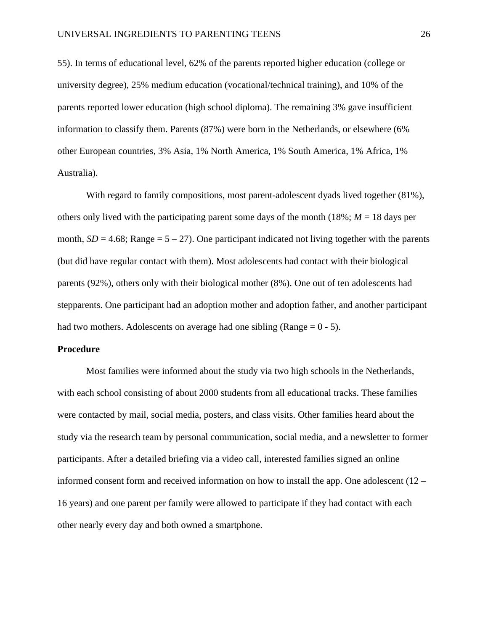55). In terms of educational level, 62% of the parents reported higher education (college or university degree), 25% medium education (vocational/technical training), and 10% of the parents reported lower education (high school diploma). The remaining 3% gave insufficient information to classify them. Parents (87%) were born in the Netherlands, or elsewhere (6% other European countries, 3% Asia, 1% North America, 1% South America, 1% Africa, 1% Australia).

With regard to family compositions, most parent-adolescent dyads lived together (81%), others only lived with the participating parent some days of the month  $(18\%; M = 18$  days per month,  $SD = 4.68$ ; Range =  $5 - 27$ ). One participant indicated not living together with the parents (but did have regular contact with them). Most adolescents had contact with their biological parents (92%), others only with their biological mother (8%). One out of ten adolescents had stepparents. One participant had an adoption mother and adoption father, and another participant had two mothers. Adolescents on average had one sibling (Range  $= 0 - 5$ ).

#### **Procedure**

Most families were informed about the study via two high schools in the Netherlands, with each school consisting of about 2000 students from all educational tracks. These families were contacted by mail, social media, posters, and class visits. Other families heard about the study via the research team by personal communication, social media, and a newsletter to former participants. After a detailed briefing via a video call, interested families signed an online informed consent form and received information on how to install the app. One adolescent (12 – 16 years) and one parent per family were allowed to participate if they had contact with each other nearly every day and both owned a smartphone.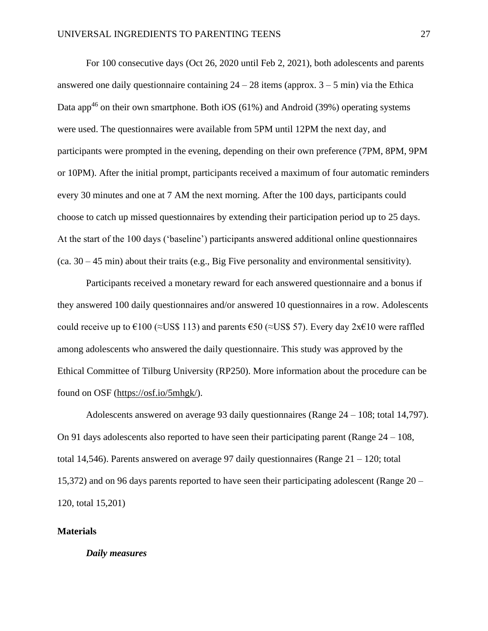For 100 consecutive days (Oct 26, 2020 until Feb 2, 2021), both adolescents and parents answered one daily questionnaire containing  $24 - 28$  items (approx.  $3 - 5$  min) via the Ethica Data app<sup>46</sup> on their own smartphone. Both iOS (61%) and Android (39%) operating systems were used. The questionnaires were available from 5PM until 12PM the next day, and participants were prompted in the evening, depending on their own preference (7PM, 8PM, 9PM or 10PM). After the initial prompt, participants received a maximum of four automatic reminders every 30 minutes and one at 7 AM the next morning. After the 100 days, participants could choose to catch up missed questionnaires by extending their participation period up to 25 days. At the start of the 100 days ('baseline') participants answered additional online questionnaires (ca. 30 – 45 min) about their traits (e.g., Big Five personality and environmental sensitivity).

Participants received a monetary reward for each answered questionnaire and a bonus if they answered 100 daily questionnaires and/or answered 10 questionnaires in a row. Adolescents could receive up to  $\epsilon$ 100 (≈US\$ 113) and parents  $\epsilon$ 50 (≈US\$ 57). Every day 2x $\epsilon$ 10 were raffled among adolescents who answered the daily questionnaire. This study was approved by the Ethical Committee of Tilburg University (RP250). More information about the procedure can be found on OSF [\(https://osf.io/5mhgk/\)](https://osf.io/5mhgk/).

Adolescents answered on average 93 daily questionnaires (Range 24 – 108; total 14,797). On 91 days adolescents also reported to have seen their participating parent (Range  $24 - 108$ , total 14,546). Parents answered on average 97 daily questionnaires (Range 21 – 120; total 15,372) and on 96 days parents reported to have seen their participating adolescent (Range 20 – 120, total 15,201)

### **Materials**

# *Daily measures*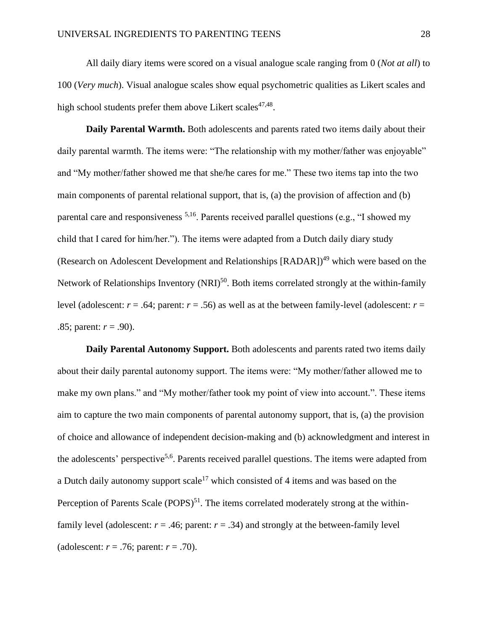All daily diary items were scored on a visual analogue scale ranging from 0 (*Not at all*) to 100 (*Very much*). Visual analogue scales show equal psychometric qualities as Likert scales and high school students prefer them above Likert scales<sup>47,48</sup>.

**Daily Parental Warmth.** Both adolescents and parents rated two items daily about their daily parental warmth. The items were: "The relationship with my mother/father was enjoyable" and "My mother/father showed me that she/he cares for me." These two items tap into the two main components of parental relational support, that is, (a) the provision of affection and (b) parental care and responsiveness  $5,16$ . Parents received parallel questions (e.g., "I showed my child that I cared for him/her."). The items were adapted from a Dutch daily diary study (Research on Adolescent Development and Relationships [RADAR])<sup>49</sup> which were based on the Network of Relationships Inventory (NRI)<sup>50</sup>. Both items correlated strongly at the within-family level (adolescent:  $r = .64$ ; parent:  $r = .56$ ) as well as at the between family-level (adolescent:  $r =$ .85; parent: *r* = .90).

**Daily Parental Autonomy Support.** Both adolescents and parents rated two items daily about their daily parental autonomy support. The items were: "My mother/father allowed me to make my own plans." and "My mother/father took my point of view into account.". These items aim to capture the two main components of parental autonomy support, that is, (a) the provision of choice and allowance of independent decision-making and (b) acknowledgment and interest in the adolescents' perspective<sup>5,6</sup>. Parents received parallel questions. The items were adapted from a Dutch daily autonomy support scale<sup>17</sup> which consisted of 4 items and was based on the Perception of Parents Scale  $(POPS)^{51}$ . The items correlated moderately strong at the withinfamily level (adolescent:  $r = .46$ ; parent:  $r = .34$ ) and strongly at the between-family level (adolescent: *r* = .76; parent: *r* = .70).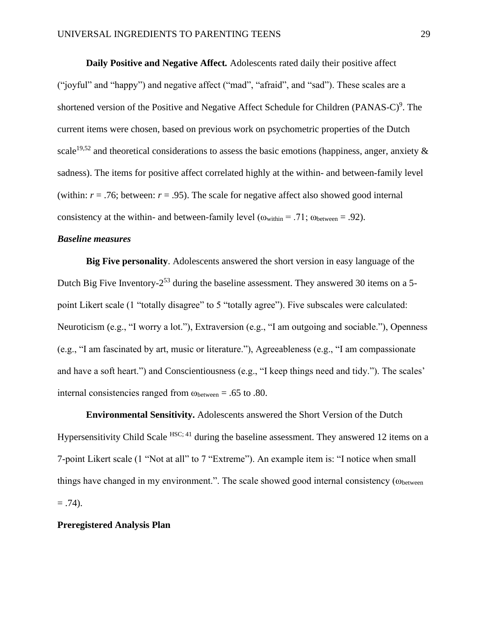**Daily Positive and Negative Affect***.* Adolescents rated daily their positive affect ("joyful" and "happy") and negative affect ("mad", "afraid", and "sad"). These scales are a shortened version of the Positive and Negative Affect Schedule for Children (PANAS-C)<sup>9</sup>. The current items were chosen, based on previous work on psychometric properties of the Dutch scale<sup>19,52</sup> and theoretical considerations to assess the basic emotions (happiness, anger, anxiety  $\&$ sadness). The items for positive affect correlated highly at the within- and between-family level (within:  $r = .76$ ; between:  $r = .95$ ). The scale for negative affect also showed good internal consistency at the within- and between-family level ( $\omega_{\text{within}} = .71$ ;  $\omega_{\text{between}} = .92$ ).

## *Baseline measures*

**Big Five personality**. Adolescents answered the short version in easy language of the Dutch Big Five Inventory-2<sup>53</sup> during the baseline assessment. They answered 30 items on a 5point Likert scale (1 "totally disagree" to 5 "totally agree"). Five subscales were calculated: Neuroticism (e.g., "I worry a lot."), Extraversion (e.g., "I am outgoing and sociable."), Openness (e.g., "I am fascinated by art, music or literature."), Agreeableness (e.g., "I am compassionate and have a soft heart.") and Conscientiousness (e.g., "I keep things need and tidy."). The scales' internal consistencies ranged from  $\omega_{\text{between}} = .65$  to .80.

**Environmental Sensitivity.** Adolescents answered the Short Version of the Dutch Hypersensitivity Child Scale  $HSC$ ; 41 during the baseline assessment. They answered 12 items on a 7-point Likert scale (1 "Not at all" to 7 "Extreme"). An example item is: "I notice when small things have changed in my environment.". The scale showed good internal consistency ( $\omega_{between}$  $= .74$ ).

## **Preregistered Analysis Plan**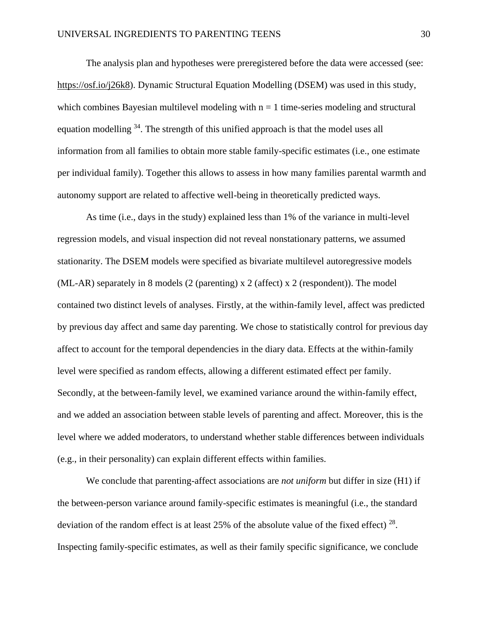The analysis plan and hypotheses were preregistered before the data were accessed (see: [https://osf.io/j26k8\)](https://osf.io/j26k8). Dynamic Structural Equation Modelling (DSEM) was used in this study, which combines Bayesian multilevel modeling with  $n = 1$  time-series modeling and structural equation modelling  $34$ . The strength of this unified approach is that the model uses all information from all families to obtain more stable family-specific estimates (i.e., one estimate per individual family). Together this allows to assess in how many families parental warmth and autonomy support are related to affective well-being in theoretically predicted ways.

As time (i.e., days in the study) explained less than 1% of the variance in multi-level regression models, and visual inspection did not reveal nonstationary patterns, we assumed stationarity. The DSEM models were specified as bivariate multilevel autoregressive models (ML-AR) separately in 8 models (2 (parenting)  $x$  2 (affect)  $x$  2 (respondent)). The model contained two distinct levels of analyses. Firstly, at the within-family level, affect was predicted by previous day affect and same day parenting. We chose to statistically control for previous day affect to account for the temporal dependencies in the diary data. Effects at the within-family level were specified as random effects, allowing a different estimated effect per family. Secondly, at the between-family level, we examined variance around the within-family effect, and we added an association between stable levels of parenting and affect. Moreover, this is the level where we added moderators, to understand whether stable differences between individuals (e.g., in their personality) can explain different effects within families.

We conclude that parenting-affect associations are *not uniform* but differ in size (H1) if the between-person variance around family-specific estimates is meaningful (i.e., the standard deviation of the random effect is at least 25% of the absolute value of the fixed effect)  $^{28}$ . Inspecting family-specific estimates, as well as their family specific significance, we conclude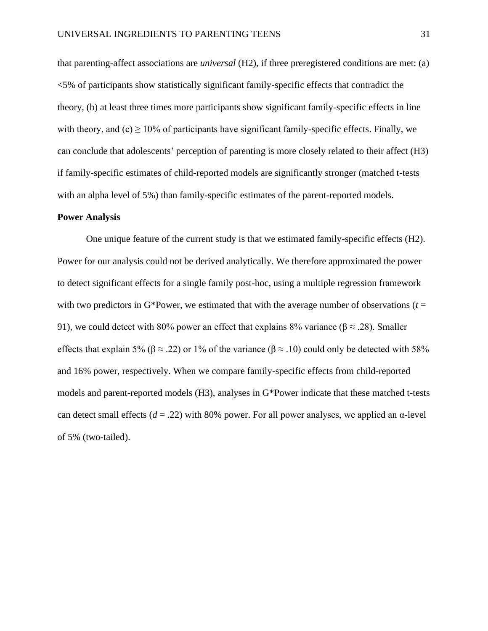that parenting-affect associations are *universal* (H2), if three preregistered conditions are met: (a) <5% of participants show statistically significant family-specific effects that contradict the theory, (b) at least three times more participants show significant family-specific effects in line with theory, and  $(c) \ge 10\%$  of participants have significant family-specific effects. Finally, we can conclude that adolescents' perception of parenting is more closely related to their affect (H3) if family-specific estimates of child-reported models are significantly stronger (matched t-tests with an alpha level of 5%) than family-specific estimates of the parent-reported models.

## **Power Analysis**

One unique feature of the current study is that we estimated family-specific effects (H2). Power for our analysis could not be derived analytically. We therefore approximated the power to detect significant effects for a single family post-hoc, using a multiple regression framework with two predictors in G\*Power, we estimated that with the average number of observations ( $t =$ 91), we could detect with 80% power an effect that explains 8% variance ( $\beta \approx .28$ ). Smaller effects that explain 5% ( $\beta \approx .22$ ) or 1% of the variance ( $\beta \approx .10$ ) could only be detected with 58% and 16% power, respectively. When we compare family-specific effects from child-reported models and parent-reported models (H3), analyses in G\*Power indicate that these matched t-tests can detect small effects ( $d = .22$ ) with 80% power. For all power analyses, we applied an  $\alpha$ -level of 5% (two-tailed).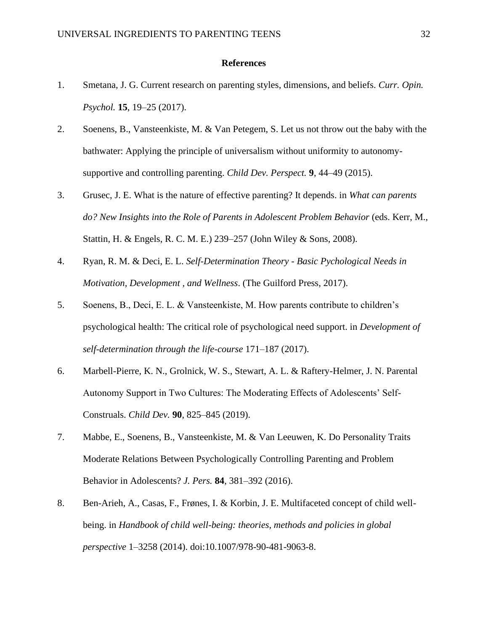# **References**

- 1. Smetana, J. G. Current research on parenting styles, dimensions, and beliefs. *Curr. Opin. Psychol.* **15**, 19–25 (2017).
- 2. Soenens, B., Vansteenkiste, M. & Van Petegem, S. Let us not throw out the baby with the bathwater: Applying the principle of universalism without uniformity to autonomysupportive and controlling parenting. *Child Dev. Perspect.* **9**, 44–49 (2015).
- 3. Grusec, J. E. What is the nature of effective parenting? It depends. in *What can parents do? New Insights into the Role of Parents in Adolescent Problem Behavior* (eds. Kerr, M., Stattin, H. & Engels, R. C. M. E.) 239–257 (John Wiley & Sons, 2008).
- 4. Ryan, R. M. & Deci, E. L. *Self-Determination Theory - Basic Pychological Needs in Motivation, Development , and Wellness*. (The Guilford Press, 2017).
- 5. Soenens, B., Deci, E. L. & Vansteenkiste, M. How parents contribute to children's psychological health: The critical role of psychological need support. in *Development of self-determination through the life-course* 171–187 (2017).
- 6. Marbell-Pierre, K. N., Grolnick, W. S., Stewart, A. L. & Raftery-Helmer, J. N. Parental Autonomy Support in Two Cultures: The Moderating Effects of Adolescents' Self-Construals. *Child Dev.* **90**, 825–845 (2019).
- 7. Mabbe, E., Soenens, B., Vansteenkiste, M. & Van Leeuwen, K. Do Personality Traits Moderate Relations Between Psychologically Controlling Parenting and Problem Behavior in Adolescents? *J. Pers.* **84**, 381–392 (2016).
- 8. Ben-Arieh, A., Casas, F., Frønes, I. & Korbin, J. E. Multifaceted concept of child wellbeing. in *Handbook of child well-being: theories, methods and policies in global perspective* 1–3258 (2014). doi:10.1007/978-90-481-9063-8.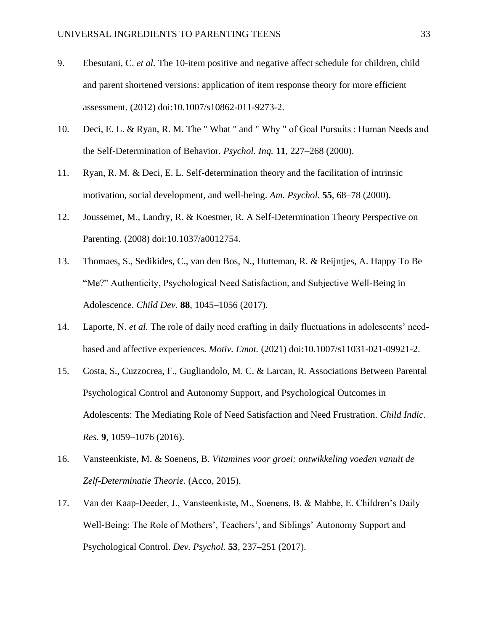- 9. Ebesutani, C. *et al.* The 10-item positive and negative affect schedule for children, child and parent shortened versions: application of item response theory for more efficient assessment. (2012) doi:10.1007/s10862-011-9273-2.
- 10. Deci, E. L. & Ryan, R. M. The " What " and " Why " of Goal Pursuits : Human Needs and the Self-Determination of Behavior. *Psychol. Inq.* **11**, 227–268 (2000).
- 11. Ryan, R. M. & Deci, E. L. Self-determination theory and the facilitation of intrinsic motivation, social development, and well-being. *Am. Psychol.* **55**, 68–78 (2000).
- 12. Joussemet, M., Landry, R. & Koestner, R. A Self-Determination Theory Perspective on Parenting. (2008) doi:10.1037/a0012754.
- 13. Thomaes, S., Sedikides, C., van den Bos, N., Hutteman, R. & Reijntjes, A. Happy To Be "Me?" Authenticity, Psychological Need Satisfaction, and Subjective Well-Being in Adolescence. *Child Dev.* **88**, 1045–1056 (2017).
- 14. Laporte, N. *et al.* The role of daily need crafting in daily fluctuations in adolescents' needbased and affective experiences. *Motiv. Emot.* (2021) doi:10.1007/s11031-021-09921-2.
- 15. Costa, S., Cuzzocrea, F., Gugliandolo, M. C. & Larcan, R. Associations Between Parental Psychological Control and Autonomy Support, and Psychological Outcomes in Adolescents: The Mediating Role of Need Satisfaction and Need Frustration. *Child Indic. Res.* **9**, 1059–1076 (2016).
- 16. Vansteenkiste, M. & Soenens, B. *Vitamines voor groei: ontwikkeling voeden vanuit de Zelf-Determinatie Theorie*. (Acco, 2015).
- 17. Van der Kaap-Deeder, J., Vansteenkiste, M., Soenens, B. & Mabbe, E. Children's Daily Well-Being: The Role of Mothers', Teachers', and Siblings' Autonomy Support and Psychological Control. *Dev. Psychol.* **53**, 237–251 (2017).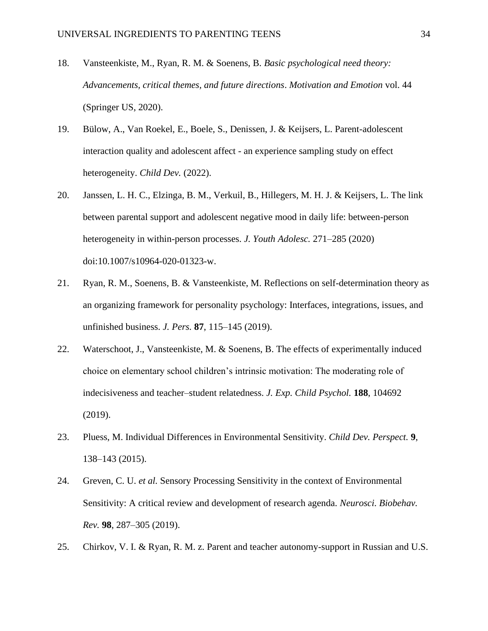- 18. Vansteenkiste, M., Ryan, R. M. & Soenens, B. *Basic psychological need theory: Advancements, critical themes, and future directions*. *Motivation and Emotion* vol. 44 (Springer US, 2020).
- 19. Bülow, A., Van Roekel, E., Boele, S., Denissen, J. & Keijsers, L. Parent-adolescent interaction quality and adolescent affect - an experience sampling study on effect heterogeneity. *Child Dev.* (2022).
- 20. Janssen, L. H. C., Elzinga, B. M., Verkuil, B., Hillegers, M. H. J. & Keijsers, L. The link between parental support and adolescent negative mood in daily life: between-person heterogeneity in within-person processes. *J. Youth Adolesc.* 271–285 (2020) doi:10.1007/s10964-020-01323-w.
- 21. Ryan, R. M., Soenens, B. & Vansteenkiste, M. Reflections on self-determination theory as an organizing framework for personality psychology: Interfaces, integrations, issues, and unfinished business. *J. Pers.* **87**, 115–145 (2019).
- 22. Waterschoot, J., Vansteenkiste, M. & Soenens, B. The effects of experimentally induced choice on elementary school children's intrinsic motivation: The moderating role of indecisiveness and teacher–student relatedness. *J. Exp. Child Psychol.* **188**, 104692 (2019).
- 23. Pluess, M. Individual Differences in Environmental Sensitivity. *Child Dev. Perspect.* **9**, 138–143 (2015).
- 24. Greven, C. U. *et al.* Sensory Processing Sensitivity in the context of Environmental Sensitivity: A critical review and development of research agenda. *Neurosci. Biobehav. Rev.* **98**, 287–305 (2019).
- 25. Chirkov, V. I. & Ryan, R. M. z. Parent and teacher autonomy-support in Russian and U.S.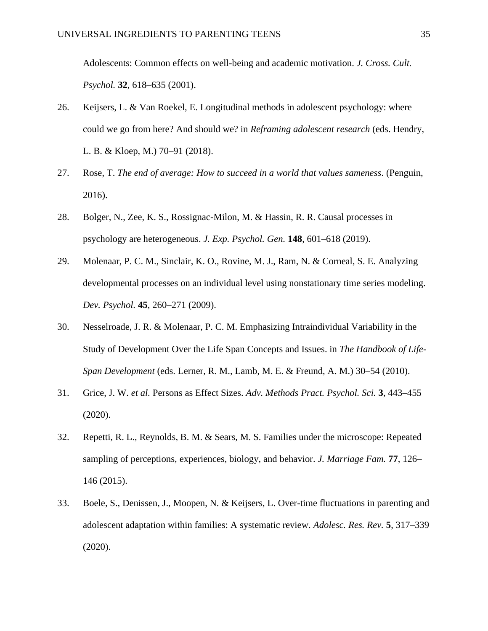Adolescents: Common effects on well-being and academic motivation. *J. Cross. Cult. Psychol.* **32**, 618–635 (2001).

- 26. Keijsers, L. & Van Roekel, E. Longitudinal methods in adolescent psychology: where could we go from here? And should we? in *Reframing adolescent research* (eds. Hendry, L. B. & Kloep, M.) 70–91 (2018).
- 27. Rose, T. *The end of average: How to succeed in a world that values sameness*. (Penguin, 2016).
- 28. Bolger, N., Zee, K. S., Rossignac-Milon, M. & Hassin, R. R. Causal processes in psychology are heterogeneous. *J. Exp. Psychol. Gen.* **148**, 601–618 (2019).
- 29. Molenaar, P. C. M., Sinclair, K. O., Rovine, M. J., Ram, N. & Corneal, S. E. Analyzing developmental processes on an individual level using nonstationary time series modeling. *Dev. Psychol.* **45**, 260–271 (2009).
- 30. Nesselroade, J. R. & Molenaar, P. C. M. Emphasizing Intraindividual Variability in the Study of Development Over the Life Span Concepts and Issues. in *The Handbook of Life-Span Development* (eds. Lerner, R. M., Lamb, M. E. & Freund, A. M.) 30–54 (2010).
- 31. Grice, J. W. *et al.* Persons as Effect Sizes. *Adv. Methods Pract. Psychol. Sci.* **3**, 443–455 (2020).
- 32. Repetti, R. L., Reynolds, B. M. & Sears, M. S. Families under the microscope: Repeated sampling of perceptions, experiences, biology, and behavior. *J. Marriage Fam.* **77**, 126– 146 (2015).
- 33. Boele, S., Denissen, J., Moopen, N. & Keijsers, L. Over-time fluctuations in parenting and adolescent adaptation within families: A systematic review. *Adolesc. Res. Rev.* **5**, 317–339 (2020).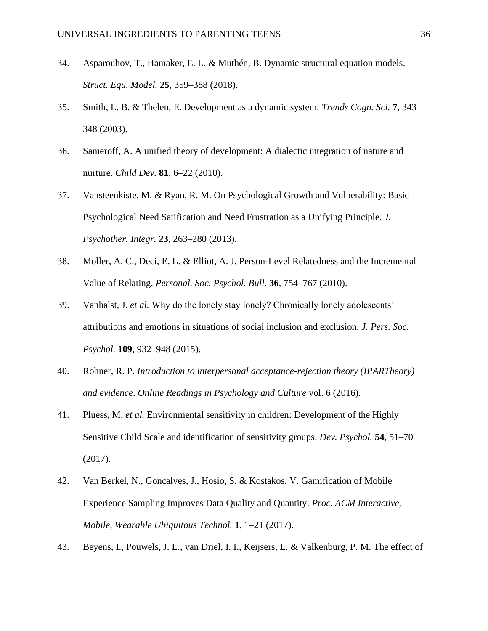- 34. Asparouhov, T., Hamaker, E. L. & Muthén, B. Dynamic structural equation models. *Struct. Equ. Model.* **25**, 359–388 (2018).
- 35. Smith, L. B. & Thelen, E. Development as a dynamic system. *Trends Cogn. Sci.* **7**, 343– 348 (2003).
- 36. Sameroff, A. A unified theory of development: A dialectic integration of nature and nurture. *Child Dev.* **81**, 6–22 (2010).
- 37. Vansteenkiste, M. & Ryan, R. M. On Psychological Growth and Vulnerability: Basic Psychological Need Satification and Need Frustration as a Unifying Principle. *J. Psychother. Integr.* **23**, 263–280 (2013).
- 38. Moller, A. C., Deci, E. L. & Elliot, A. J. Person-Level Relatedness and the Incremental Value of Relating. *Personal. Soc. Psychol. Bull.* **36**, 754–767 (2010).
- 39. Vanhalst, J. *et al.* Why do the lonely stay lonely? Chronically lonely adolescents' attributions and emotions in situations of social inclusion and exclusion. *J. Pers. Soc. Psychol.* **109**, 932–948 (2015).
- 40. Rohner, R. P. *Introduction to interpersonal acceptance-rejection theory (IPARTheory) and evidence*. *Online Readings in Psychology and Culture* vol. 6 (2016).
- 41. Pluess, M. *et al.* Environmental sensitivity in children: Development of the Highly Sensitive Child Scale and identification of sensitivity groups. *Dev. Psychol.* **54**, 51–70 (2017).
- 42. Van Berkel, N., Goncalves, J., Hosio, S. & Kostakos, V. Gamification of Mobile Experience Sampling Improves Data Quality and Quantity. *Proc. ACM Interactive, Mobile, Wearable Ubiquitous Technol.* **1**, 1–21 (2017).
- 43. Beyens, I., Pouwels, J. L., van Driel, I. I., Keijsers, L. & Valkenburg, P. M. The effect of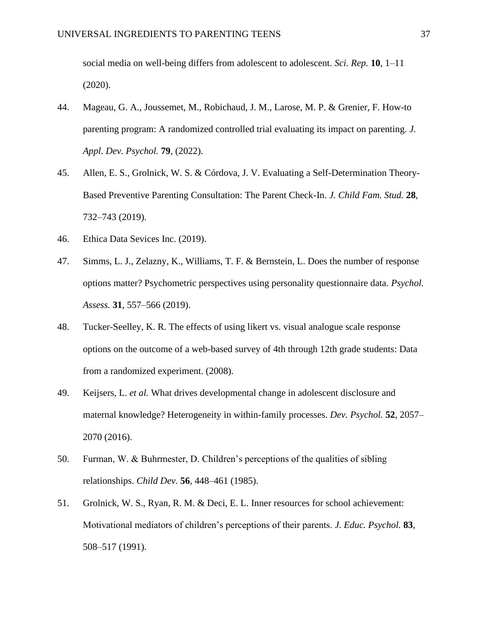social media on well-being differs from adolescent to adolescent. *Sci. Rep.* **10**, 1–11 (2020).

- 44. Mageau, G. A., Joussemet, M., Robichaud, J. M., Larose, M. P. & Grenier, F. How-to parenting program: A randomized controlled trial evaluating its impact on parenting. *J. Appl. Dev. Psychol.* **79**, (2022).
- 45. Allen, E. S., Grolnick, W. S. & Córdova, J. V. Evaluating a Self-Determination Theory-Based Preventive Parenting Consultation: The Parent Check-In. *J. Child Fam. Stud.* **28**, 732–743 (2019).
- 46. Ethica Data Sevices Inc. (2019).
- 47. Simms, L. J., Zelazny, K., Williams, T. F. & Bernstein, L. Does the number of response options matter? Psychometric perspectives using personality questionnaire data. *Psychol. Assess.* **31**, 557–566 (2019).
- 48. Tucker-Seelley, K. R. The effects of using likert vs. visual analogue scale response options on the outcome of a web-based survey of 4th through 12th grade students: Data from a randomized experiment. (2008).
- 49. Keijsers, L. *et al.* What drives developmental change in adolescent disclosure and maternal knowledge? Heterogeneity in within-family processes. *Dev. Psychol.* **52**, 2057– 2070 (2016).
- 50. Furman, W. & Buhrmester, D. Children's perceptions of the qualities of sibling relationships. *Child Dev.* **56**, 448–461 (1985).
- 51. Grolnick, W. S., Ryan, R. M. & Deci, E. L. Inner resources for school achievement: Motivational mediators of children's perceptions of their parents. *J. Educ. Psychol.* **83**, 508–517 (1991).